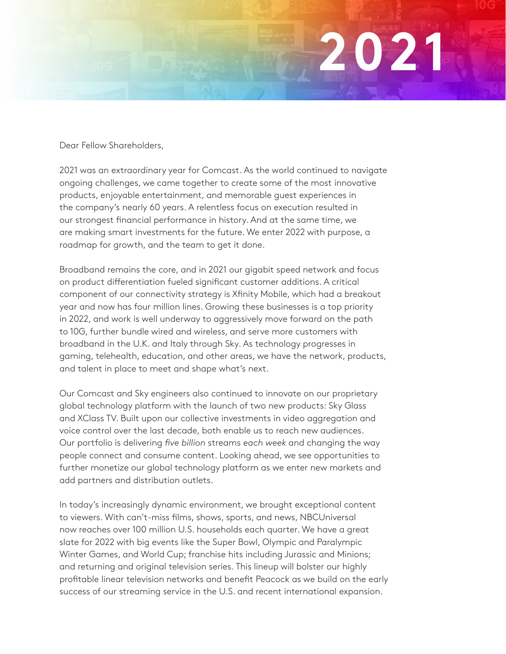

Dear Fellow Shareholders,

2021 was an extraordinary year for Comcast. As the world continued to navigate ongoing challenges, we came together to create some of the most innovative products, enjoyable entertainment, and memorable guest experiences in the company's nearly 60 years. A relentless focus on execution resulted in our strongest financial performance in history. And at the same time, we are making smart investments for the future. We enter 2022 with purpose, a roadmap for growth, and the team to get it done.

Broadband remains the core, and in 2021 our gigabit speed network and focus on product differentiation fueled significant customer additions. A critical component of our connectivity strategy is Xfinity Mobile, which had a breakout year and now has four million lines. Growing these businesses is a top priority in 2022, and work is well underway to aggressively move forward on the path to 10G, further bundle wired and wireless, and serve more customers with broadband in the U.K. and Italy through Sky. As technology progresses in gaming, telehealth, education, and other areas, we have the network, products, and talent in place to meet and shape what's next.

Our Comcast and Sky engineers also continued to innovate on our proprietary global technology platform with the launch of two new products: Sky Glass and XClass TV. Built upon our collective investments in video aggregation and voice control over the last decade, both enable us to reach new audiences. Our portfolio is delivering *five billion* streams *each week* and changing the way people connect and consume content. Looking ahead, we see opportunities to further monetize our global technology platform as we enter new markets and add partners and distribution outlets.

In today's increasingly dynamic environment, we brought exceptional content to viewers. With can't-miss films, shows, sports, and news, NBCUniversal now reaches over 100 million U.S. households each quarter. We have a great slate for 2022 with big events like the Super Bowl, Olympic and Paralympic Winter Games, and World Cup; franchise hits including Jurassic and Minions; and returning and original television series. This lineup will bolster our highly profitable linear television networks and benefit Peacock as we build on the early success of our streaming service in the U.S. and recent international expansion.